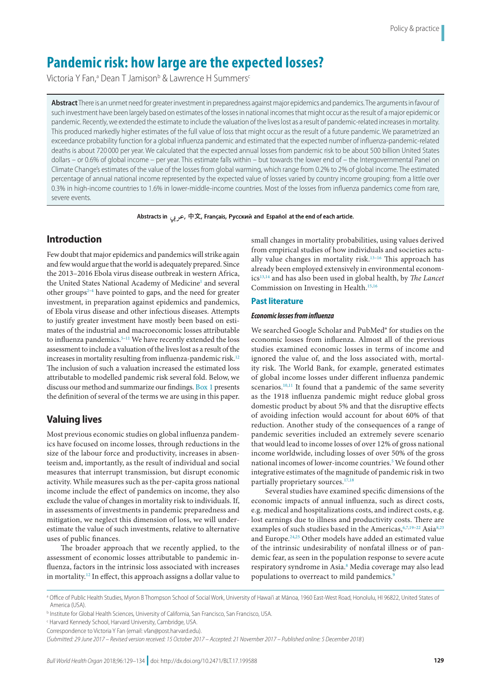# **Pandemic risk: how large are the expected losses?**

Victoria Y Fan,ª Dean T Jamison<sup>b</sup> & Lawrence H Summers<sup>c</sup>

**Abstract** There is an unmet need for greater investment in preparedness against major epidemics and pandemics. The arguments in favour of such investment have been largely based on estimates of the losses in national incomes that might occur as the result of a major epidemic or pandemic. Recently, we extended the estimate to include the valuation of the lives lost as a result of pandemic-related increases in mortality. This produced markedly higher estimates of the full value of loss that might occur as the result of a future pandemic. We parametrized an exceedance probability function for a global influenza pandemic and estimated that the expected number of influenza-pandemic-related deaths is about 720 000 per year. We calculated that the expected annual losses from pandemic risk to be about 500 billion United States dollars – or 0.6% of global income – per year. This estimate falls within – but towards the lower end of – the Intergovernmental Panel on Climate Change's estimates of the value of the losses from global warming, which range from 0.2% to 2% of global income. The estimated percentage of annual national income represented by the expected value of losses varied by country income grouping: from a little over 0.3% in high-income countries to 1.6% in lower-middle-income countries. Most of the losses from influenza pandemics come from rare, severe events.

Abstracts in  $\varphi$ ,  $\varphi$ ,  $\# \overline{\chi}$ , Français, Русский and Español at the end of each article.

# **Introduction**

Few doubt that major epidemics and pandemics will strike again and few would argue that the world is adequately prepared. Since the 2013–2016 Ebola virus disease outbreak in western Africa, the United States National Academy of Medicine<sup>[1](#page-4-0)</sup> and several other groups<sup>2-[4](#page-4-2)</sup> have pointed to gaps, and the need for greater investment, in preparation against epidemics and pandemics, of Ebola virus disease and other infectious diseases. Attempts to justify greater investment have mostly been based on estimates of the industrial and macroeconomic losses attributable to influenza pandemics.<sup>[5](#page-4-3)–11</sup> We have recently extended the loss assessment to include a valuation of the lives lost as a result of the increases in mortality resulting from influenza-pandemic risk.<sup>12</sup> The inclusion of such a valuation increased the estimated loss attributable to modelled pandemic risk several fold. Below, we discuss our method and summarize our findings. [Box](#page-1-0) 1 presents the definition of several of the terms we are using in this paper.

# **Valuing lives**

Most previous economic studies on global influenza pandemics have focused on income losses, through reductions in the size of the labour force and productivity, increases in absenteeism and, importantly, as the result of individual and social measures that interrupt transmission, but disrupt economic activity. While measures such as the per-capita gross national income include the effect of pandemics on income, they also exclude the value of changes in mortality risk to individuals. If, in assessments of investments in pandemic preparedness and mitigation, we neglect this dimension of loss, we will underestimate the value of such investments, relative to alternative uses of public finances.

The broader approach that we recently applied, to the assessment of economic losses attributable to pandemic influenza, factors in the intrinsic loss associated with increases in mortality.<sup>12</sup> In effect, this approach assigns a dollar value to small changes in mortality probabilities, using values derived from empirical studies of how individuals and societies actu-ally value changes in mortality risk.<sup>[13](#page-5-2)-16</sup> This approach has already been employed extensively in environmental economics[13](#page-5-2),[14](#page-5-4) and has also been used in global health, by *The Lancet* Commission on Investing in Health.<sup>[15](#page-5-5)[,16](#page-5-3)</sup>

### **Past literature**

### *Economic losses from influenza*

We searched Google Scholar and PubMed<sup>®</sup> for studies on the economic losses from influenza. Almost all of the previous studies examined economic losses in terms of income and ignored the value of, and the loss associated with, mortality risk. The World Bank, for example, generated estimates of global income losses under different influenza pandemic scenarios. $10,11$  $10,11$  It found that a pandemic of the same severity as the 1918 influenza pandemic might reduce global gross domestic product by about 5% and that the disruptive effects of avoiding infection would account for about 60% of that reduction. Another study of the consequences of a range of pandemic severities included an extremely severe scenario that would lead to income losses of over 12% of gross national income worldwide, including losses of over 50% of the gross national incomes of lower-income countries.<sup>[5](#page-4-3)</sup> We found other integrative estimates of the magnitude of pandemic risk in two partially proprietary sources[.17,](#page-5-7)[18](#page-5-8)

Several studies have examined specific dimensions of the economic impacts of annual influenza, such as direct costs, e.g. medical and hospitalizations costs, and indirect costs, e.g. lost earnings due to illness and productivity costs. There are examples of such studies based in the Americas, 6[,7](#page-5-9),19-[22](#page-5-11) Asia 8[,23](#page-5-13) and Europe.[24](#page-5-14)[,25](#page-5-15) Other models have added an estimated value of the intrinsic undesirability of nonfatal illness or of pandemic fear, as seen in the population response to severe acute respiratory syndrome in Asia.<sup>8</sup> Media coverage may also lead populations to overreact to mild pandemics.<sup>9</sup>

c Harvard Kennedy School, Harvard University, Cambridge, USA.

a Office of Public Health Studies, Myron B Thompson School of Social Work, University of Hawai'i at Mānoa, 1960 East-West Road, Honolulu, HI 96822, United States of America (USA).

b Institute for Global Health Sciences, University of California, San Francisco, San Francisco, USA.

Correspondence to Victoria Y Fan (email: vfan@post.harvard.edu).

<sup>(</sup>*Submitted: 29 June 2017 – Revised version received: 15 October 2017 – Accepted: 21 November 2017 – Published online: 5 December 2018* )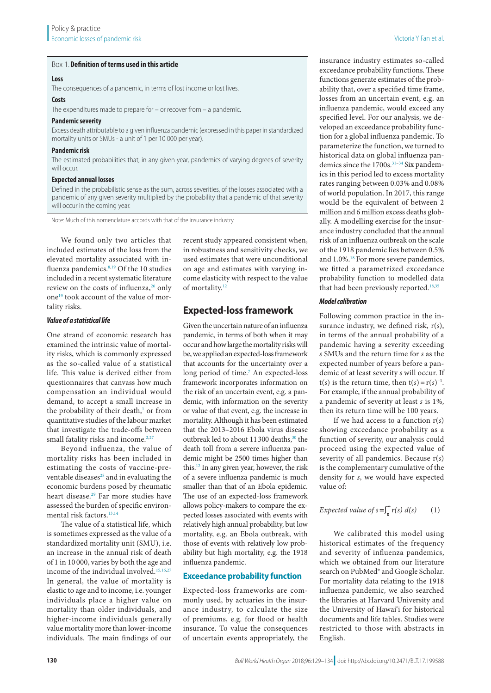#### <span id="page-1-0"></span>Box 1.**Definition of terms used in this article**

### **Loss**

The consequences of a pandemic, in terms of lost income or lost lives.

## **Costs**

The expenditures made to prepare for – or recover from – a pandemic.

### **Pandemic severity**

Excess death attributable to a given influenza pandemic (expressed in this paper in standardized mortality units or SMUs - a unit of 1 per 10 000 per year).

### **Pandemic risk**

The estimated probabilities that, in any given year, pandemics of varying degrees of severity will occur.

### **Expected annual losses**

Defined in the probabilistic sense as the sum, across severities, of the losses associated with a pandemic of any given severity multiplied by the probability that a pandemic of that severity will occur in the coming year.

Note: Much of this nomenclature accords with that of the insurance industry.

We found only two articles that included estimates of the loss from the elevated mortality associated with in-fluenza pandemics.<sup>[8,](#page-5-12)19</sup> Of the 10 studies included in a recent systematic literature review on the costs of influenza,<sup>[26](#page-5-17)</sup> only one<sup>[19](#page-5-10)</sup> took account of the value of mortality risks.

#### *Value of a statistical life*

One strand of economic research has examined the intrinsic value of mortality risks, which is commonly expressed as the so-called value of a statistical life. This value is derived either from questionnaires that canvass how much compensation an individual would demand, to accept a small increase in the probability of their death,<sup>1</sup> or from quantitative studies of the labour market that investigate the trade-offs between small fatality risks and income. $2,27$  $2,27$ 

Beyond influenza, the value of mortality risks has been included in estimating the costs of vaccine-preventable diseases $28$  and in evaluating the economic burdens posed by rheumatic heart disease.[29](#page-5-20) Far more studies have assessed the burden of specific environmental risk factors[.13,](#page-5-2)[14](#page-5-4)

The value of a statistical life, which is sometimes expressed as the value of a standardized mortality unit (SMU), i.e. an increase in the annual risk of death of 1 in 10 000, varies by both the age and income of the individual involved.[15](#page-5-5),[16](#page-5-3),[27](#page-5-18) In general, the value of mortality is elastic to age and to income, i.e. younger individuals place a higher value on mortality than older individuals, and higher-income individuals generally value mortality more than lower-income individuals. The main findings of our

recent study appeared consistent when, in robustness and sensitivity checks, we used estimates that were unconditional on age and estimates with varying income elasticity with respect to the value of mortality.<sup>[12](#page-5-1)</sup>

# **Expected-loss framework**

Given the uncertain nature of an influenza pandemic, in terms of both when it may occur and how large the mortality risks will be, we applied an expected-loss framework that accounts for the uncertainty over a long period of time.<sup>[7](#page-5-9)</sup> An expected-loss framework incorporates information on the risk of an uncertain event, e.g. a pandemic, with information on the severity or value of that event, e.g. the increase in mortality. Although it has been estimated that the 2013–2016 Ebola virus disease outbreak led to about 11300 deaths,<sup>30</sup> the death toll from a severe influenza pandemic might be 2500 times higher than this.[12](#page-5-1) In any given year, however, the risk of a severe influenza pandemic is much smaller than that of an Ebola epidemic. The use of an expected-loss framework allows policy-makers to compare the expected losses associated with events with relatively high annual probability, but low mortality, e.g. an Ebola outbreak, with those of events with relatively low probability but high mortality, e.g. the 1918 influenza pandemic.

### **Exceedance probability function**

Expected-loss frameworks are commonly used, by actuaries in the insurance industry, to calculate the size of premiums, e.g. for flood or health insurance. To value the consequences of uncertain events appropriately, the

insurance industry estimates so-called exceedance probability functions. These functions generate estimates of the probability that, over a specified time frame, losses from an uncertain event, e.g. an influenza pandemic, would exceed any specified level. For our analysis, we developed an exceedance probability function for a global influenza pandemic. To parameterize the function, we turned to historical data on global influenza pandemics since the 1700s.<sup>31-34</sup> Six pandemics in this period led to excess mortality rates ranging between 0.03% and 0.08% of world population. In 2017, this range would be the equivalent of between 2 million and 6 million excess deaths globally. A modelling exercise for the insurance industry concluded that the annual risk of an influenza outbreak on the scale of the 1918 pandemic lies between 0.5% and 1.0%.<sup>[18](#page-5-8)</sup> For more severe pandemics, we fitted a parametrized exceedance probability function to modelled data that had been previously reported.<sup>[18](#page-5-8)[,35](#page-5-24)</sup>

#### *Model calibration*

Following common practice in the insurance industry, we defined risk, r(*s*), in terms of the annual probability of a pandemic having a severity exceeding *s* SMUs and the return time for *s* as the expected number of years before a pandemic of at least severity *s* will occur. If  $t(s)$  is the return time, then  $t(s) = r(s)^{-1}$ . For example, if the annual probability of a pandemic of severity at least *s* is 1%, then its return time will be 100 years.

If we had access to a function r(*s*) showing exceedance probability as a function of severity, our analysis could proceed using the expected value of severity of all pandemics. Because r(*s*) is the complementary cumulative of the density for *s*, we would have expected value of:

# *Expected value of s* =  $\int_{0}^{\infty} r(s) d(s)$  (1)

We calibrated this model using historical estimates of the frequency and severity of influenza pandemics, which we obtained from our literature search on PubMed® and Google Scholar. For mortality data relating to the 1918 influenza pandemic, we also searched the libraries at Harvard University and the University of Hawai'i for historical documents and life tables. Studies were restricted to those with abstracts in English.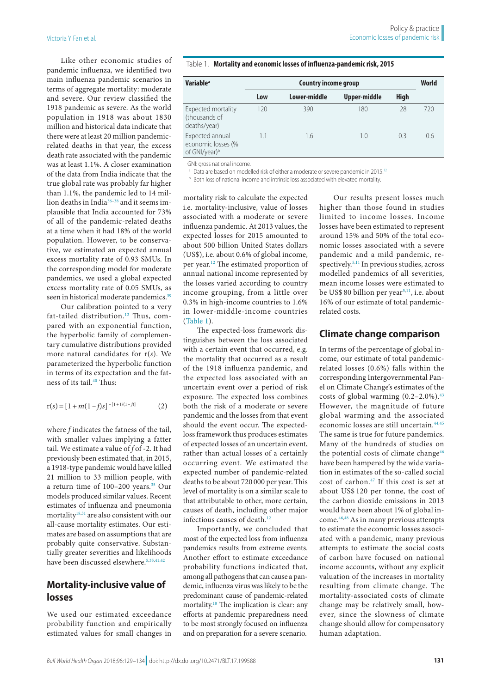Like other economic studies of pandemic influenza, we identified two main influenza pandemic scenarios in terms of aggregate mortality: moderate and severe. Our review classified the 1918 pandemic as severe. As the world population in 1918 was about 1830 million and historical data indicate that there were at least 20 million pandemicrelated deaths in that year, the excess death rate associated with the pandemic was at least 1.1%. A closer examination of the data from India indicate that the true global rate was probably far higher than 1.1%, the pandemic led to 14 million deaths in Indi[a36–](#page-5-25)[38](#page-5-26) and it seems implausible that India accounted for 73% of all of the pandemic-related deaths at a time when it had 18% of the world population. However, to be conservative, we estimated an expected annual excess mortality rate of 0.93 SMUs. In the corresponding model for moderate pandemics, we used a global expected excess mortality rate of 0.05 SMUs, as seen in historical moderate pandemics.<sup>[39](#page-5-27)</sup>

Our calibration pointed to a very fat-tailed distribution.<sup>[12](#page-5-1)</sup> Thus, compared with an exponential function, the hyperbolic family of complementary cumulative distributions provided more natural candidates for r(*s*). We parameterized the hyperbolic function in terms of its expectation and the fatness of its tail.<sup>40</sup> Thus:

$$
r(s) = [1 + m(1 - f)s]^{-(1 + 1/(1 - f))}
$$
 (2)

where *f* indicates the fatness of the tail, with smaller values implying a fatter tail. We estimate a value of *f* of -2. It had previously been estimated that, in 2015, a 1918-type pandemic would have killed 21 million to 33 million people, with a return time of 100-200 years.<sup>35</sup> Our models produced similar values. Recent estimates of influenza and pneumonia mortality<sup>18,[31](#page-5-22)</sup> are also consistent with our all-cause mortality estimates. Our estimates are based on assumptions that are probably quite conservative. Substantially greater severities and likelihoods have been discussed elsewhere.<sup>5[,35,](#page-5-24)[41](#page-5-29),[42](#page-5-30)</sup>

# **Mortality-inclusive value of losses**

We used our estimated exceedance probability function and empirically estimated values for small changes in

<span id="page-2-0"></span>

|  |  | Table 1. Mortality and economic losses of influenza-pandemic risk, 2015 |  |
|--|--|-------------------------------------------------------------------------|--|
|--|--|-------------------------------------------------------------------------|--|

| <b>Variable<sup>a</sup></b>                                        | <b>Country income group</b> |              |              | World       |     |
|--------------------------------------------------------------------|-----------------------------|--------------|--------------|-------------|-----|
|                                                                    | Low                         | Lower-middle | Upper-middle | <b>High</b> |     |
| Expected mortality<br>(thousands of<br>deaths/year)                | 120                         | 390          | 180          | 28          | 720 |
| Expected annual<br>economic losses (%<br>of GNI/year) <sup>b</sup> | 1.1                         | 1.6          | 1.0          | 0.3         | 0.6 |

GNI: gross national income.

<sup>a</sup> Data are based on modelled risk of either a moderate or severe pandemic in 2015.<sup>12</sup>

**b** Both loss of national income and intrinsic loss associated with elevated mortality.

mortality risk to calculate the expected i.e. mortality-inclusive, value of losses associated with a moderate or severe influenza pandemic. At 2013 values, the expected losses for 2015 amounted to about 500 billion United States dollars (US\$), i.e. about 0.6% of global income, per year[.12](#page-5-1) The estimated proportion of annual national income represented by the losses varied according to country income grouping, from a little over 0.3% in high-income countries to 1.6% in lower-middle-income countries [\(Table](#page-2-0) 1).

The expected-loss framework distinguishes between the loss associated with a certain event that occurred, e.g. the mortality that occurred as a result of the 1918 influenza pandemic, and the expected loss associated with an uncertain event over a period of risk exposure. The expected loss combines both the risk of a moderate or severe pandemic and the losses from that event should the event occur. The expectedloss framework thus produces estimates of expected losses of an uncertain event, rather than actual losses of a certainly occurring event. We estimated the expected number of pandemic-related deaths to be about 720 000 per year. This level of mortality is on a similar scale to that attributable to other, more certain, causes of death, including other major infectious causes of death[.12](#page-5-1)

Importantly, we concluded that most of the expected loss from influenza pandemics results from extreme events. Another effort to estimate exceedance probability functions indicated that, among all pathogens that can cause a pandemic, influenza virus was likely to be the predominant cause of pandemic-related mortality[.18](#page-5-8) The implication is clear: any efforts at pandemic preparedness need to be most strongly focused on influenza and on preparation for a severe scenario.

Our results present losses much higher than those found in studies limited to income losses. Income losses have been estimated to represent around 15% and 50% of the total economic losses associated with a severe pandemic and a mild pandemic, respectively[.5,](#page-4-3)[11](#page-5-0) In previous studies, across modelled pandemics of all severities, mean income losses were estimated to be US\$ 80 billion per year<sup>5,[11](#page-5-0)</sup>, i.e. about 16% of our estimate of total pandemicrelated costs.

### **Climate change comparison**

In terms of the percentage of global income, our estimate of total pandemicrelated losses (0.6%) falls within the corresponding Intergovernmental Panel on Climate Change's estimates of the costs of global warming  $(0.2-2.0\%)$ .<sup>[43](#page-5-31)</sup> However, the magnitude of future global warming and the associated economic losses are still uncertain.<sup>44,[45](#page-5-33)</sup> The same is true for future pandemics. Many of the hundreds of studies on the potential costs of climate change<sup>[46](#page-5-34)</sup> have been hampered by the wide variation in estimates of the so-called social cost of carbon.[47](#page-5-35) If this cost is set at about US\$ 120 per tonne, the cost of the carbon dioxide emissions in 2013 would have been about 1% of global income.[46](#page-5-34)[,48](#page-5-36) As in many previous attempts to estimate the economic losses associated with a pandemic, many previous attempts to estimate the social costs of carbon have focused on national income accounts, without any explicit valuation of the increases in mortality resulting from climate change. The mortality-associated costs of climate change may be relatively small, however, since the slowness of climate change should allow for compensatory human adaptation.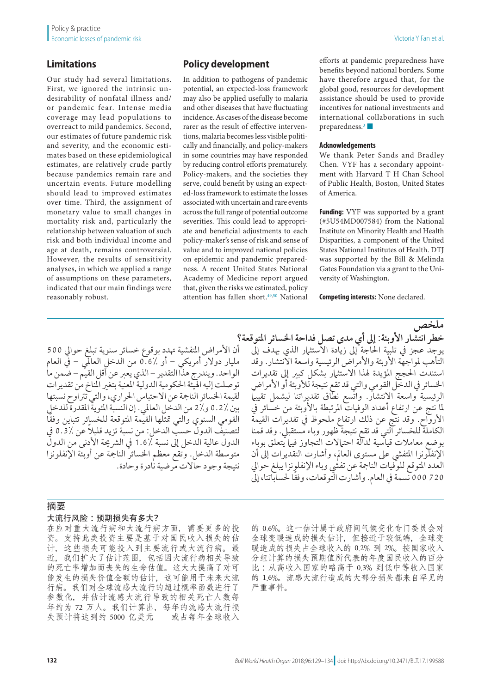# **Limitations**

Our study had several limitations. First, we ignored the intrinsic undesirability of nonfatal illness and/ or pandemic fear. Intense media coverage may lead populations to overreact to mild pandemics. Second, our estimates of future pandemic risk and severity, and the economic estimates based on these epidemiological estimates, are relatively crude partly because pandemics remain rare and uncertain events. Future modelling should lead to improved estimates over time. Third, the assignment of monetary value to small changes in mortality risk and, particularly the relationship between valuation of such risk and both individual income and age at death, remains controversial. However, the results of sensitivity analyses, in which we applied a range of assumptions on these parameters, indicated that our main findings were reasonably robust.

# **Policy development**

In addition to pathogens of pandemic potential, an expected-loss framework may also be applied usefully to malaria and other diseases that have fluctuating incidence. As cases of the disease become rarer as the result of effective interventions, malaria becomes less visible politically and financially, and policy-makers in some countries may have responded by reducing control efforts prematurely. Policy-makers, and the societies they serve, could benefit by using an expected-loss framework to estimate the losses associated with uncertain and rare events across the full range of potential outcome severities. This could lead to appropriate and beneficial adjustments to each policy-maker's sense of risk and sense of value and to improved national policies on epidemic and pandemic preparedness. A recent United States National Academy of Medicine report argued that, given the risks we estimated, policy attention has fallen short.<sup>49,[50](#page-5-38)</sup> National

efforts at pandemic preparedness have benefits beyond national borders. Some have therefore argued that, for the global good, resources for development assistance should be used to provide incentives for national investments and international collaborations in such preparedness. $3 \blacksquare$ 

### **Acknowledgements**

We thank Peter Sands and Bradley Chen. VYF has a secondary appointment with Harvard T H Chan School of Public Health, Boston, United States of America.

**Funding:** VYF was supported by a grant (#5U54MD007584) from the National Institute on Minority Health and Health Disparities, a component of the United States National Institutes of Health. DTJ was supported by the Bill & Melinda Gates Foundation via a grant to the University of Washington.

**Competing interests:** None declared.

أن الأمراض المتفشية تهدد بوقوع خسائر سنوية تبلغ حوالي 500 مليار دوالر أمريكي – أو 0.6% من الدخل العاملي – يف العام الواحد. ويندرج هذا التقدير – الذي يعرب عن أقل القيم – ضمن ما توصلت إليه اهليئة احلكومية الدولية املعنية بتغري املناخ من تقديرات لقيمة اخلسائر النامجة عن االحتباس احلراري، والتي ترتاوح نسبتها بين 0.2٪ و2% من الدخل العالمي. إن النسبة المئوية المقدرة للدخلي ً القومي السنوي والتي متثلها القيمة املتوقعة للخسائر تتباين وفقا ً لتصنيف الدول حسب الدخل: من نسبة تزيد قليال عن 0.3% يف الدول عالية الدخل إلى نسبة ٪1.6 في الشريحة الأدنى من الدول متوسطة الدخل. وتقع معظم اخلسائر النامجة عن أوبئة اإلنفلونزا نتيجة وجود حاالت مرضية نادرة وحادة.

**ملخص** خطر انتشار الأوبئة: إلى أي مدى تصل فداحة الخسائر المتوقعة؟ يوجد عجز يف تلبية احلاجة إىل زيادة االستثامر الذي هيدف إىل التأهب لمواجهة الأوبئة والأمراض الرئيسية واسعة الأنتشار. وقد استندت الحجج المؤيدة لهذا الاستثرار بشكل كبير إلى تقديرات الخسائر في الدخل القومي والتي قد تقع نتيجة للأوبئة أو الأمراض الرئيسية واسعة الانتشار. واتسع نطاق تقديراتنا ليشمل تقييما لما نتج عن ارتفاع أعداد الوفيات المرتبطة بالأوبئة من خسائر في األرواح. وقد نتج عن ذلك ارتفاع ملحوظ يف تقديرات القيمة الكاملة للخسائر التي قد تقع نتيجة ظهور وباء مستقبيل. وقد قمنا بوضع معامالت قياسية لدالة احتامالت التجاوز فيام يتعلق بوباء اإلنفلونزا املتفيش عىل مستوى العامل، وأشارت التقديرات إىل أن العدد املتوقع للوفيات النامجة عن تفيش وباء اإلنفلونزا يبلغ حوايل 720 000 ً نسمة يف العام. وأشارت التوقعات، وفقا حلساباتنا، إىل

### 摘要

### 大流行风险:预期损失有多大?

在应对重大流行病和大流行病方面,需要更多的投 资。支持此类投资主要是基于对国民收入损失的估 计,这些损失可能投入到主要流行或大流行病。最 近,我们扩大了估计范围,包括因大流行病相关导致 的死亡率增加而丧失的生命估值。这大大提高了对可 能发生的损失价值全额的估计,这可能用于未来大流 行病。我们对全球流感大流行的超过概率函数进行了 参数化,并估计流感大流行导致的相关死亡人数每 年约为 72 万人。我们计算出,每年的流感大流行损 失预计将达到约 5000 亿美元——或占每年全球收入

的 0.6%。这一估计属于政府间气候变化专门委员会对 全球变暖造成的损失估计,但接近于较低端,全球变 暖造成的损失占全球收入的 0.2% 到 2%。按国家收入 分组计算的损失预期值所代表的年度国民收入的百分 比 :从高收入国家的略高于 0.3% 到低中等收入国家 的 1.6%。流感大流行造成的大部分损失都来自罕见的 严重事件。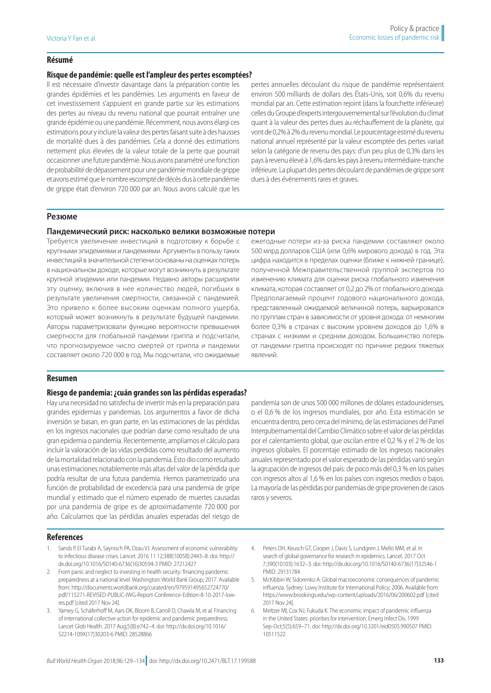### **Résumé**

### **Risque de pandémie: quelle est l'ampleur des pertes escomptées?**

Il est nécessaire d'investir davantage dans la préparation contre les grandes épidémies et les pandémies. Les arguments en faveur de cet investissement s'appuient en grande partie sur les estimations des pertes au niveau du revenu national que pourrait entraîner une grande épidémie ou une pandémie. Récemment, nous avons élargi ces estimations pour y inclure la valeur des pertes faisant suite à des hausses de mortalité dues à des pandémies. Cela a donné des estimations nettement plus élevées de la valeur totale de la perte que pourrait occasionner une future pandémie. Nous avons paramétré une fonction de probabilité de dépassement pour une pandémie mondiale de grippe et avons estimé que le nombre escompté de décès dus à cette pandémie de grippe était d'environ 720 000 par an. Nous avons calculé que les

pertes annuelles découlant du risque de pandémie représentaient environ 500 milliards de dollars des États-Unis, soit 0,6% du revenu mondial par an. Cette estimation rejoint (dans la fourchette inférieure) celles du Groupe d'experts intergouvernemental sur l'évolution du climat quant à la valeur des pertes dues au réchauffement de la planète, qui vont de 0,2% à 2% du revenu mondial. Le pourcentage estimé du revenu national annuel représenté par la valeur escomptée des pertes variait selon la catégorie de revenu des pays: d'un peu plus de 0,3% dans les pays à revenu élevé à 1,6% dans les pays à revenu intermédiaire-tranche inférieure. La plupart des pertes découlant de pandémies de grippe sont dues à des événements rares et graves.

### **Резюме**

### **Пандемический риск: насколько велики возможные потери**

Требуется увеличение инвестиций в подготовку к борьбе с крупными эпидемиями и пандемиями. Аргументы в пользу таких инвестиций в значительной степени основаны на оценках потерь в национальном доходе, которые могут возникнуть в результате крупной эпидемии или пандемии. Недавно авторы расширили эту оценку, включив в нее количество людей, погибших в результате увеличения смертности, связанной с пандемией. Это привело к более высоким оценкам полного ущерба, который может возникнуть в результате будущей пандемии. Авторы параметризовали функцию вероятности превышения смертности для глобальной пандемии гриппа и подсчитали, что прогнозируемое число смертей от гриппа и пандемии составляет около 720 000 в год. Мы подсчитали, что ожидаемые

#### **Resumen**

### **Riesgo de pandemia: ¿cuán grandes son las pérdidas esperadas?**

Hay una necesidad no satisfecha de invertir más en la preparación para grandes epidemias y pandemias. Los argumentos a favor de dicha inversión se basan, en gran parte, en las estimaciones de las pérdidas en los ingresos nacionales que podrían darse como resultado de una gran epidemia o pandemia. Recientemente, ampliamos el cálculo para incluir la valoración de las vidas perdidas como resultado del aumento de la mortalidad relacionado con la pandemia. Esto dio como resultado unas estimaciones notablemente más altas del valor de la pérdida que podría resultar de una futura pandemia. Hemos parametrizado una función de probabilidad de excedencia para una pandemia de gripe mundial y estimado que el número esperado de muertes causadas por una pandemia de gripe es de aproximadamente 720 000 por año. Calculamos que las pérdidas anuales esperadas del riesgo de

ежегодные потери из-за риска пандемии составляют около 500 млрд долларов США (или 0,6% мирового дохода) в год. Эта цифра находится в пределах оценки (ближе к нижней границе), полученной Межправительственной группой экспертов по изменению климата для оценки риска глобального изменения климата, которая составляет от 0,2 до 2% от глобального дохода. Предполагаемый процент годового национального дохода, представленный ожидаемой величиной потерь, варьировался по группам стран в зависимости от уровня дохода: от немногим более 0,3% в странах с высоким уровнем доходов до 1,6% в странах с низкими и средним доходом. Большинство потерь от пандемии гриппа происходят по причине редких тяжелых явлений.

pandemia son de unos 500 000 millones de dólares estadounidenses, o el 0,6 % de los ingresos mundiales, por año. Esta estimación se encuentra dentro, pero cerca del mínimo, de las estimaciones del Panel Intergubernamental del Cambio Climático sobre el valor de las pérdidas por el calentamiento global, que oscilan entre el 0,2 % y el 2 % de los ingresos globales. El porcentaje estimado de los ingresos nacionales anuales representado por el valor esperado de las pérdidas varió según la agrupación de ingresos del país: de poco más del 0,3 % en los países con ingresos altos al 1,6 % en los países con ingresos medios o bajos. La mayoría de las pérdidas por pandemias de gripe provienen de casos raros y severos.

### **References**

- <span id="page-4-0"></span>1. Sands P, El Turabi A, Saynisch PA, Dzau VJ. Assessment of economic vulnerability to infectious disease crises. Lancet. 2016 11 12;388(10058):2443–8. doi: [http://](http://dx.doi.org/10.1016/S0140-6736(16)30594-3) [dx.doi.org/10.1016/S0140-6736\(16\)30594-3](http://dx.doi.org/10.1016/S0140-6736(16)30594-3) PMID: [27212427](http://www.ncbi.nlm.nih.gov/pubmed/27212427)
- <span id="page-4-1"></span>2. From panic and neglect to investing in health security: financing pandemic preparedness at a national level. Washington: World Bank Group; 2017. Available from: [http://documents.worldbank.org/curated/en/979591495652724770/](http://documents.worldbank.org/curated/en/979591495652724770/pdf/115271-REVISED-PUBLIC-IWG-Report-Conference-Edition-8-10-2017-low-res.pdf) [pdf/115271-REVISED-PUBLIC-IWG-Report-Conference-Edition-8-10-2017-low](http://documents.worldbank.org/curated/en/979591495652724770/pdf/115271-REVISED-PUBLIC-IWG-Report-Conference-Edition-8-10-2017-low-res.pdf)[res.pdf](http://documents.worldbank.org/curated/en/979591495652724770/pdf/115271-REVISED-PUBLIC-IWG-Report-Conference-Edition-8-10-2017-low-res.pdf) [cited 2017 Nov 24].
- <span id="page-4-5"></span>3. Yamey G, Schäferhoff M, Aars OK, Bloom B, Carroll D, Chawla M, et al. Financing of international collective action for epidemic and pandemic preparedness. Lancet Glob Health. 2017 Aug;5(8):e742–4. doi: [http://dx.doi.org/10.1016/](http://dx.doi.org/10.1016/S2214-109X(17)30203-6) [S2214-109X\(17\)30203-6](http://dx.doi.org/10.1016/S2214-109X(17)30203-6) PMID: [28528866](http://www.ncbi.nlm.nih.gov/pubmed/28528866)
- <span id="page-4-2"></span>4. Peters DH, Keusch GT, Cooper J, Davis S, Lundgren J, Mello MM, et al. In search of global governance for research in epidemics. Lancet. 2017 Oct 7;390(10103):1632–3. doi: [http://dx.doi.org/10.1016/S0140-6736\(17\)32546-1](http://dx.doi.org/10.1016/S0140-6736(17)32546-1) PMID: [29131784](http://www.ncbi.nlm.nih.gov/pubmed/29131784)
- <span id="page-4-3"></span>5. McKibbin W, Sidorenko A. Global macroeconomic consequences of pandemic influenza. Sydney: Lowy Institute for International Policy; 2006. Available from: <https://www.brookings.edu/wp-content/uploads/2016/06/200602.pdf>[cited 2017 Nov 24].
- <span id="page-4-4"></span>6. Meltzer MI, Cox NJ, Fukuda K. The economic impact of pandemic influenza in the United States: priorities for intervention. Emerg Infect Dis. 1999 Sep-Oct;5(5):659–71. doi:<http://dx.doi.org/10.3201/eid0505.990507>PMID: [10511522](http://www.ncbi.nlm.nih.gov/pubmed/10511522)